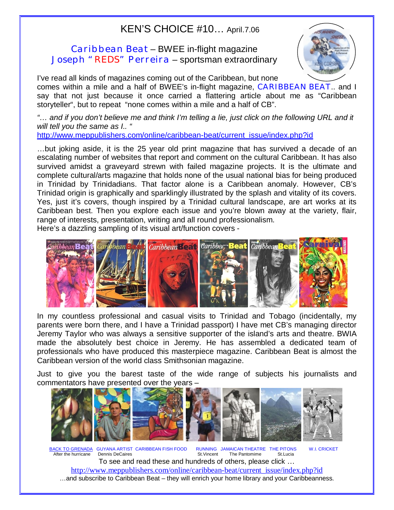## KEN'S CHOICE #10… April.7.06

## Caribbean Beat – BWEE in-flight magazine Joseph "REDS" Perreira – sportsman extraordinary



I've read all kinds of magazines coming out of the Caribbean, but none comes within a mile and a half of BWEE's in-flight magazine, CARIBBEAN BEAT.. and I say that not just because it once carried a flattering article about me as "Caribbean storyteller", but to repeat "none comes within a mile and a half of CB".

*"… and if you don't believe me and think I'm telling a lie, just click on the following URL and it will tell you the same as I.. "* 

[http://www.meppublishers.com/online/caribbean-beat/current\\_issue/index.php?id](http://www.meppublishers.com/online/caribbean-beat/current_issue/index.php?id)

…but joking aside, it is the 25 year old print magazine that has survived a decade of an escalating number of websites that report and comment on the cultural Caribbean. It has also survived amidst a graveyard strewn with failed magazine projects. It is the ultimate and complete cultural/arts magazine that holds none of the usual national bias for being produced in Trinidad by Trinidadians. That factor alone is a Caribbean anomaly. However, CB's Trinidad origin is graphically and sparklingly illustrated by the splash and vitality of its covers. Yes, just it's covers, though inspired by a Trinidad cultural landscape, are art works at its Caribbean best. Then you explore each issue and you're blown away at the variety, flair, range of interests, presentation, writing and all round professionalism.

Here's a dazzling sampling of its visual art/function covers - Ì



In my countless professional and casual visits to Trinidad and Tobago (incidentally, my parents were born there, and I have a Trinidad passport) I have met CB's managing director Jeremy Taylor who was always a sensitive supporter of the island's arts and theatre. BWIA made the absolutely best choice in Jeremy. He has assembled a dedicated team of professionals who have produced this masterpiece magazine. Caribbean Beat is almost the Caribbean version of the world class Smithsonian magazine.

Just to give you the barest taste of the wide range of subjects his journalists and commentators have presented over the years –



BACK TO GRENADA GUYANA ARTIST CARIBBEAN FISH FOOD RUNNING JAMAICAN THEATRE THE PITONS W.I. CRICKET After the hurricane Dennis DeCaires St. St. Vincent The Pantomime St. Lucia To see and read these and hundreds of others, please click … [http://www.meppublishers.com/online/caribbean-beat/current\\_issue/index.php?id](http://www.meppublishers.com/online/caribbean-beat/current_issue/index.php?id) …and subscribe to Caribbean Beat – they will enrich your home library and your Caribbeanness.